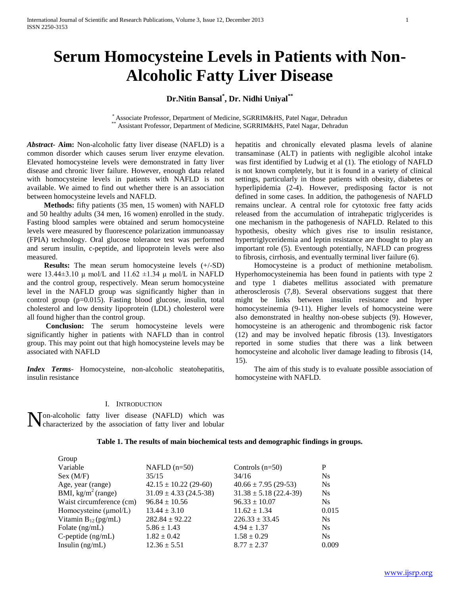# **Serum Homocysteine Levels in Patients with Non-Alcoholic Fatty Liver Disease**

# **Dr.Nitin Bansal\* , Dr. Nidhi Uniyal\*\***

\* Associate Professor, Department of Medicine, SGRRIM&HS, Patel Nagar, Dehradun \*\* Assistant Professor, Department of Medicine, SGRRIM&HS, Patel Nagar, Dehradun

*Abstract***- Aim:** Non-alcoholic fatty liver disease (NAFLD) is a common disorder which causes serum liver enzyme elevation. Elevated homocysteine levels were demonstrated in fatty liver disease and chronic liver failure. However, enough data related with homocysteine levels in patients with NAFLD is not available. We aimed to find out whether there is an association between homocysteine levels and NAFLD.

 **Methods:** fifty patients (35 men, 15 women) with NAFLD and 50 healthy adults (34 men, 16 women) enrolled in the study. Fasting blood samples were obtained and serum homocysteine levels were measured by fluorescence polarization immunoassay (FPIA) technology. Oral glucose tolerance test was performed and serum insulin, c-peptide, and lipoprotein levels were also measured.

**Results:** The mean serum homocysteine levels  $(+/-SD)$ were 13.44 $\pm$ 3.10 μ mol/L and 11.62  $\pm$ 1.34 μ mol/L in NAFLD and the control group, respectively. Mean serum homocysteine level in the NAFLD group was significantly higher than in control group (p=0.015). Fasting blood glucose, insulin, total cholesterol and low density lipoprotein (LDL) cholesterol were all found higher than the control group.

 **Conclusion:** The serum homocysteine levels were significantly higher in patients with NAFLD than in control group. This may point out that high homocysteine levels may be associated with NAFLD

*Index Terms*- Homocysteine, non-alcoholic steatohepatitis, insulin resistance

hepatitis and chronically elevated plasma levels of alanine transaminase (ALT) in patients with negligible alcohol intake was first identified by Ludwig et al (1). The etiology of NAFLD is not known completely, but it is found in a variety of clinical settings, particularly in those patients with obesity, diabetes or hyperlipidemia (2-4). However, predisposing factor is not defined in some cases. In addition, the pathogenesis of NAFLD remains unclear. A central role for cytotoxic free fatty acids released from the accumulation of intrahepatic triglycerides is one mechanism in the pathogenesis of NAFLD. Related to this hypothesis, obesity which gives rise to insulin resistance, hypertriglyceridemia and leptin resistance are thought to play an important role (5). Eventough potentially, NAFLD can progress to fibrosis, cirrhosis, and eventually terminal liver failure (6).

 Homocysteine is a product of methionine metabolism. Hyperhomocysteinemia has been found in patients with type 2 and type 1 diabetes mellitus associated with premature atherosclerosis (7,8). Several observations suggest that there might be links between insulin resistance and hyper homocysteinemia (9-11). Higher levels of homocysteine were also demonstrated in healthy non-obese subjects (9). However, homocysteine is an atherogenic and thrombogenic risk factor (12) and may be involved hepatic fibrosis (13). Investigators reported in some studies that there was a link between homocysteine and alcoholic liver damage leading to fibrosis (14, 15).

 The aim of this study is to evaluate possible association of homocysteine with NAFLD.

### I. INTRODUCTION

**N**on-alcoholic fatty liver disease (NAFLD) which was characterized by the association of fatty liver and lobular characterized by the association of fatty liver and lobular

Group

## **Table 1. The results of main biochemical tests and demographic findings in groups.**

| <b>OLUUP</b>                      |                            |                            |                |
|-----------------------------------|----------------------------|----------------------------|----------------|
| Variable                          | NAFLD $(n=50)$             | Controls $(n=50)$          | P              |
| Sex (M/F)                         | 35/15                      | 34/16                      | <b>Ns</b>      |
| Age, year (range)                 | $42.15 \pm 10.22$ (29-60)  | $40.66 \pm 7.95$ (29-53)   | <b>Ns</b>      |
| BMI, $kg/m2$ (range)              | $31.09 \pm 4.33$ (24.5-38) | $31.38 \pm 5.18$ (22.4-39) | <b>Ns</b>      |
| Waist circumference (cm)          | $96.84 \pm 10.56$          | $96.33 \pm 10.07$          | N <sub>s</sub> |
| Homocysteine $(\mu \text{mol/L})$ | $13.44 \pm 3.10$           | $11.62 \pm 1.34$           | 0.015          |
| Vitamin $B_{12}$ (pg/mL)          | $282.84 \pm 92.22$         | $226.33 \pm 33.45$         | N <sub>s</sub> |
| Folate $(ng/mL)$                  | $5.86 \pm 1.43$            | $4.94 \pm 1.37$            | N <sub>s</sub> |
| $C$ -peptide $(ng/mL)$            | $1.82 \pm 0.42$            | $1.58 \pm 0.29$            | <b>Ns</b>      |
| Insulin $(ng/mL)$                 | $12.36 \pm 5.51$           | $8.77 \pm 2.37$            | 0.009          |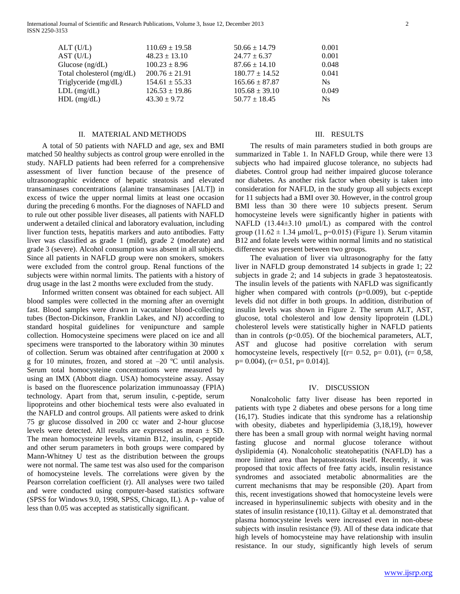| ALT(U/L)                  | $110.69 \pm 19.58$ | $50.66 \pm 14.79$  | 0.001 |
|---------------------------|--------------------|--------------------|-------|
| AST (U/L)                 | $48.23 \pm 13.10$  | $24.77 \pm 6.37$   | 0.001 |
| Glucose $(ng/dL)$         | $100.23 \pm 8.96$  | $87.66 \pm 14.10$  | 0.048 |
| Total cholesterol (mg/dL) | $200.76 \pm 21.91$ | $180.77 \pm 14.52$ | 0.041 |
| Triglyceride (mg/dL)      | $154.61 \pm 55.33$ | $165.66 \pm 87.87$ | Ns.   |
| $LDL$ (mg/dL)             | $126.53 \pm 19.86$ | $105.68 \pm 39.10$ | 0.049 |
| $HDL$ (mg/dL)             | $43.30 \pm 9.72$   | $50.77 \pm 18.45$  | Ns.   |
|                           |                    |                    |       |

#### II. MATERIAL AND METHODS

 A total of 50 patients with NAFLD and age, sex and BMI matched 50 healthy subjects as control group were enrolled in the study. NAFLD patients had been referred for a comprehensive assessment of liver function because of the presence of ultrasonographic evidence of hepatic steatosis and elevated transaminases concentrations (alanine transaminases [ALT]) in excess of twice the upper normal limits at least one occasion during the preceding 6 months. For the diagnoses of NAFLD and to rule out other possible liver diseases, all patients with NAFLD underwent a detailed clinical and laboratory evaluation, including liver function tests, hepatitis markers and auto antibodies. Fatty liver was classified as grade 1 (mild), grade 2 (moderate) and grade 3 (severe). Alcohol consumption was absent in all subjects. Since all patients in NAFLD group were non smokers, smokers were excluded from the control group. Renal functions of the subjects were within normal limits. The patients with a history of drug usage in the last 2 months were excluded from the study.

 Informed written consent was obtained for each subject. All blood samples were collected in the morning after an overnight fast. Blood samples were drawn in vacutainer blood-collecting tubes (Becton-Dickinson, Franklin Lakes, and NJ) according to standard hospital guidelines for venipuncture and sample collection. Homocysteine specimens were placed on ice and all specimens were transported to the laboratory within 30 minutes of collection. Serum was obtained after centrifugation at 2000 x g for 10 minutes, frozen, and stored at  $-20$  °C until analysis. Serum total homocysteine concentrations were measured by using an IMX (Abbott diagn. USA) homocysteine assay. Assay is based on the fluorescence polarization immunoassay (FPIA) technology. Apart from that, serum insulin, c-peptide, serum lipoproteins and other biochemical tests were also evaluated in the NAFLD and control groups. All patients were asked to drink 75 gr glucose dissolved in 200 cc water and 2-hour glucose levels were detected. All results are expressed as mean ± SD. The mean homocysteine levels, vitamin B12, insulin, c-peptide and other serum parameters in both groups were compared by Mann-Whitney U test as the distribution between the groups were not normal. The same test was also used for the comparison of homocysteine levels. The correlations were given by the Pearson correlation coefficient (r). All analyses were two tailed and were conducted using computer-based statistics software (SPSS for Windows 9.0, 1998, SPSS, Chicago, IL). A p- value of less than 0.05 was accepted as statistically significant.

#### III. RESULTS

 The results of main parameters studied in both groups are summarized in Table 1. In NAFLD Group, while there were 13 subjects who had impaired glucose tolerance, no subjects had diabetes. Control group had neither impaired glucose tolerance nor diabetes. As another risk factor when obesity is taken into consideration for NAFLD, in the study group all subjects except for 11 subjects had a BMI over 30. However, in the control group BMI less than 30 there were 10 subjects present. Serum homocysteine levels were significantly higher in patients with NAFLD (13.44±3.10 μmol/L) as compared with the control group  $(11.62 \pm 1.34 \mu \text{mol/L}, \text{p=0.015})$  (Figure 1). Serum vitamin B12 and folate levels were within normal limits and no statistical difference was present between two groups.

 The evaluation of liver via ultrasonography for the fatty liver in NAFLD group demonstrated 14 subjects in grade 1; 22 subjects in grade 2; and 14 subjects in grade 3 hepatosteatosis. The insulin levels of the patients with NAFLD was significantly higher when compared with controls (p=0.009), but c-peptide levels did not differ in both groups. In addition, distribution of insulin levels was shown in Figure 2. The serum ALT, AST, glucose, total cholesterol and low density lipoprotein (LDL) cholesterol levels were statistically higher in NAFLD patients than in controls  $(p<0.05)$ . Of the biochemical parameters, ALT, AST and glucose had positive correlation with serum homocysteine levels, respectively  $[(r= 0.52, p= 0.01), (r= 0.58,$ p= 0.004), (r= 0.51, p= 0.014)].

#### IV. DISCUSSION

 Nonalcoholic fatty liver disease has been reported in patients with type 2 diabetes and obese persons for a long time (16,17). Studies indicate that this syndrome has a relationship with obesity, diabetes and hyperlipidemia (3,18,19), however there has been a small group with normal weight having normal fasting glucose and normal glucose tolerance without dyslipidemia (4). Nonalcoholic steatohepatitis (NAFLD) has a more limited area than hepatosteatosis itself. Recently, it was proposed that toxic affects of free fatty acids, insulin resistance syndromes and associated metabolic abnormalities are the current mechanisms that may be responsible (20). Apart from this, recent investigations showed that homocysteine levels were increased in hyperinsulinemic subjects with obesity and in the states of insulin resistance (10,11). Giltay et al. demonstrated that plasma homocysteine levels were increased even in non-obese subjects with insulin resistance (9). All of these data indicate that high levels of homocysteine may have relationship with insulin resistance. In our study, significantly high levels of serum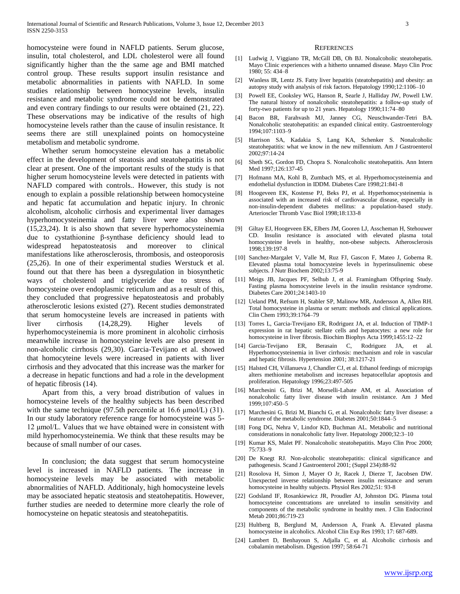homocysteine were found in NAFLD patients. Serum glucose, insulin, total cholesterol, and LDL cholesterol were all found significantly higher than the the same age and BMI matched control group. These results support insulin resistance and metabolic abnormalities in patients with NAFLD. In some studies relationship between homocysteine levels, insulin resistance and metabolic syndrome could not be demonstrated and even contrary findings to our results were obtained (21, 22). These observations may be indicative of the results of high homocysteine levels rather than the cause of insulin resistance. It seems there are still unexplained points on homocysteine metabolism and metabolic syndrome.

 Whether serum homocysteine elevation has a metabolic effect in the development of steatosis and steatohepatitis is not clear at present. One of the important results of the study is that higher serum homocysteine levels were detected in patients with NAFLD compared with controls.. However, this study is not enough to explain a possible relationship between homocysteine and hepatic fat accumulation and hepatic injury. In chronic alcoholism, alcoholic cirrhosis and experimental liver damages hyperhomocysteinemia and fatty liver were also shown (15,23,24). It is also shown that severe hyperhomocysteinemia due to cystathionine β-synthase deficiency should lead to widespread hepatosteatosis and moreover to clinical manifestations like atherosclerosis, thrombosis, and osteoporosis (25,26). In one of their experimental studies Werstuck et al. found out that there has been a dysregulation in biosynthetic ways of cholesterol and triglyceride due to stress of homocysteine over endoplasmic reticulum and as a result of this, they concluded that progressive hepatosteatosis and probably atherosclerotic lesions existed (27). Recent studies demonstrated that serum homocysteine levels are increased in patients with liver cirrhosis (14,28,29). Higher levels of hyperhomocysteinemia is more prominent in alcoholic cirrhosis meanwhile increase in homocysteine levels are also present in non-alcoholic cirrhosis (29,30). Garcia-Tevijano et al. showed that homocyteine levels were increased in patients with liver cirrhosis and they advocated that this increase was the marker for a decrease in hepatic functions and had a role in the development of hepatic fibrosis (14).

 Apart from this, a very broad distribution of values in homocysteine levels of the healthy subjects has been described with the same technique (97.5th percentile at 16.6 μmol/L) (31). In our study laboratory reference range for homocysteine was 5- 12 μmol/L. Values that we have obtained were in consistent with mild hyperhomocysteinemia. We think that these results may be because of small number of our cases.

 In conclusion; the data suggest that serum homocysteine level is increased in NAFLD patients. The increase in homocysteine levels may be associated with metabolic abnormalities of NAFLD. Additionaly, high homocysteine levels may be associated hepatic steatosis and steatohepatitis. However, further studies are needed to determine more clearly the role of homocysteine on hepatic steatosis and steatohepatitis.

#### **REFERENCES**

- [1] Ludwig J, Viggiano TR, McGill DB, Oh BJ. Nonalcoholic steatohepatis. Mayo Clinic experiences with a hitherto unnamed disease. Mayo Clin Proc 1980; 55: 434–8
- [2] Wanless IR, Lentz JS. Fatty liver hepatitis (steatohepatitis) and obesity: an autopsy study with analysis of risk factors. Hepatology 1990;12:1106–10
- [3] Powell EE, Cooksley WG, Hanson R, Searle J, Halliday JW, Powell LW. The natural history of nonalcoholic steatohepatitis: a follow-up study of forty-two patients for up to 21 years. Hepatology 1990;11:74–80
- [4] Bacon BR, Farahvash MJ, Janney CG, Neuschwander-Tetri BA. Nonalcoholic steatohepatitis: an expanded clinical entity. Gastroenterology 1994;107:1103–9
- [5] Harrison SA, Kadakia S, Lang KA, Schenker S. Nonalcoholic steatohepatitis: what we know in the new millennium. Am J Gastroenterol 2002;97:14-24
- [6] Sheth SG, Gordon FD, Chopra S. Nonalcoholic steatohepatitis. Ann Intern Med 1997;126:137-45
- [7] Hofmann MA, Kohl B, Zumbach MS, et al. Hyperhomocysteinemia and endothelial dysfunction in IDDM. Diabetes Care 1998;21:841-8
- [8] Hoogeveen EK, Kostense PJ, Beks PJ, et al. Hyperhomocysteinemia is associated with an increased risk of cardiovascular disease, especially in non-insulin-dependent diabetes mellitus: a population-based study. Arterioscler Thromb Vasc Biol 1998;18:133-8
- [9] Giltay EJ, Hoogeveen EK, Elbers JM, Gooren LJ, Asscheman H, Stehouwer CD. Insulin resistance is associated with elevated plasma total homocysteine levels in healthy, non-obese subjects. Atherosclerosis 1998;139:197-8
- [10] Sanchez-Margalet V, Valle M, Ruz FJ, Gascon F, Mateo J, Goberna R. Elevated plasma total homocysteine levels in hyperinsulinemic obese subjects. J Nutr Biochem 2002;13:75-9
- [11] Meigs JB, Jacques PF, Selhub J, et al. Framingham Offspring Study. Fasting plasma homocysteine levels in the insulin resistance syndrome. Diabetes Care 2001;24:1403-10
- [12] Ueland PM, Refsum H, Stabler SP, Malinow MR, Andersson A, Allen RH. Total homocysteine in plasma or serum: methods and clinical applications. Clin Chem 1993;39:1764–79
- [13] Torres L, Garcia-Trevijano ER, Rodriguez JA, et al. Induction of TIMP-1 expression in rat hepatic stellate cells and hepatocytes: a new role for homocysteine in liver fibrosis. Biochim Biophys Acta 1999;1455:12–22
- [14] Garcia-Tevijano ER, Berasain C, Rodriguez JA, et al. Hyperhomocysteinemia in liver cirrhosis: mechanism and role in vascular and hepatic fibrosis. Hypertension 2001; 38:1217-21
- [15] Halsted CH, Villanueva J, Chandler CJ, et al. Ethanol feedings of micropigs alters methionine metabolism and increases hepatocellular apoptosis and proliferation. Hepatology 1996;23:497-505
- [16] Marchesini G, Brizi M, Morselli-Labate AM, et al. Association of nonalcoholic fatty liver disease with insulin resistance. Am J Med 1999;107:450–5
- [17] Marchesini G, Brizi M, Bianchi G, et al. Nonalcoholic fatty liver disease: a feature of the metabolic syndrome. Diabetes 2001;50:1844–5
- [18] Fong DG, Nehra V, Lindor KD, Buchman AL. Metabolic and nutritional considerations in nonalcoholic fatty liver. Hepatology 2000;32:3–10
- [19] Kumar KS, Malet PF. Nonalcoholic steatohepatitis. Mayo Clin Proc 2000; 75:733–9
- [20] De Knegt RJ. Non-alcoholic steatohepatitis: clinical significance and pathogenesis. Scand J Gastroenterol 2001; (Suppl 234):88-92
- [21] Rosolova H, Simon J, Mayer O Jr, Racek J, Dierze T, Jacobsen DW. Unexpected inverse relationship between insulin resistance and serum homocysteine in healthy subjects. Physiol Res 2002;51: 93-8
- [22] Godsland IF, Rosankiewicz JR, Proudler AJ, Johnston DG. Plasma total homocsyteine concentrations are unrelated to insulin sensitivity and components of the metabolic syndrome in healthy men. J Clin Endocrinol Metab 2001;86:719-23
- [23] Hultberg B, Berglund M, Andersson A, Frank A. Elevated plasma homocysteine in alcoholics. Alcohol Clin Exp Res 1993; 17: 687-689.
- [24] Lambert D, Benhayoun S, Adjalla C, et al. Alcoholic cirrhosis and cobalamin metabolism. Digestion 1997; 58:64-71